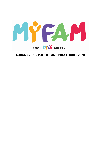

# **CORONAVIRUS POLICIES AND PROCEDURES 2020**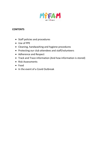

## **CONTENTS**

- Staff policies and procedures
- Use of PPE
- Cleaning, handwashing and hygiene procedures
- Protecting our club attendees and staff/volunteers
- Adherence and Respect
- Track and Trace information (And how information is stored)
- Risk Assessments
- Food
- In the event of a Covid Outbreak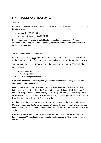## **STAFF POLICIES AND PROCEDURES**

#### **Training**

All staff and Volunteers are required to complete the following online training courses prior to returning back:

- Coronavirus COVID-19 Essentials
- Anxiety in Children during COVID-19

Links to these courses can be E mailed to staff by the Project Manager or Project Coordinator upron request. Once completed, certificates are to be sent to the Secretary to be put in personal files.

#### Staff/Volunteer Health and Wellbeing

All staff and volunteers **must** sign a 'Fit to Work' form prior to attending each session to confirm that they are free from Covid symptoms and are not at risk of transmitting the virus.

Staff **must not** attend any MyFAM setting if they have any symptoms of COVID-19. These symptoms are:

- A continuous new cough
- A high temperature
- A loss or change of smell or taste

If you have any of the above symptoms you need to let the Project Manager or Project Coordinator know immediately.

Please note that temperatures will be taken by using a handheld Infared thermometer before each session. This will be the Team Leaders responsibility to check their teams' temperature upon arrival prior to entering the building. Should any person's temperature be above 38C, they will be asked to leave immediately and seek appropriate medical advice from their GP or by calling the NHS 111 advice line.

It is then the staff members/volunteer's responsibility to update the Team Leader/Project Manager/Project Coordinator on any diagnosis that may be given by medical professionals. Please note the staff/volunteer member will not be able to return to the session for at least 10 days.

If a staff member/volunteer has tested positive for Coronavirus, they **must** inform the Project Manager/Project Coordinator immediately (See section on 'Covid outbreak policy and procedure')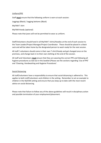#### Uniform/PPE

Staff **must** ensure that the following uniform is worn at each session:

Leggings (Black) / Jogging bottoms (Black)

MyFAM T shirt

MyFAM Hoody (optional)

Please note that jeans will not be permitted to wear as uniform.

Staff/Volunteers should hand in all MyFAM T shirts/Hoodies at the end of each session to the Team Leader/Project Manager/Project Coordinator. These should be placed in a black sack and will be taken home by the designated person to wash ready for the next session.

All staff / volunteers should come in their own T shirt/Hoody and get changed once on the premises, and change back in to their own clothing at the end of the session.

All staff and Volunteers **must** ensure that they are wearing the correct PPE and following all hygiene procedures as laid out in this booklet (Please see the sections regarding 'Use of PPE' and 'Cleaning, Handwashing and Hygiene Procedures'.

#### Social Distancing

All staff/volunteers have a responsibility to ensure that social distancing is adhered to. This applies to both staff/volunteers and children in the setting. Remember to set an example to children in the MyFAM setting and ensure that you keep up to date with the most recent advice on social distancing.

Please note that failure to follow any of the above guidelines will result in disciplinary action and possible termination of your employment/placement.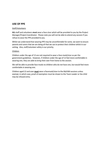### **USE OF PPE**

#### Staff/Volunteers

**ALL** staff and volunteers **must** wear a face visor which will be provided to you by the Project Manager/Project Coordinator. Please note you will not be able to attend any session if you refuse to wear the PPE provided to you.

Whilst we understand that wearing PPE may be uncomfortable for some, we want to ensure parents and carers that we are doing all that we can to protect their children whilst in our setting. Also, staff/volunteer safety is our priority.

#### Children

Children under the age of 12 are not required to wear a face mask/visor as per the government guidelines. However, if children under the age of 12 feel more comfortable in wearing one, they are able to bring their own from home to the session.

We will be able to provide face masks to children who do not have one, but would feel more comfortable in wearing one.

Children aged 12 and over **must** wear a facemask/visor to the MyFAM sessions unless exempt, in which case, proof of exemption must be shown to the Team Leader or the child may be refused entry.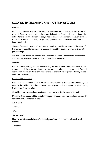## **CLEANING, HANDWASHING AND HYGIENE PROCEDURES**

#### Equipment

Any equipment used at any session will be wiped down and cleaned both prior to, and at the end of each session. It will be the responsibility of the Team Leader to coordinate the antibacterial cleaning. This can be designated to other team members; however, it will be the Team Leaders responsibility to sign the paperwork after each clean to confirm it has been completed.

Sharing of any equipment must be limited as much as possible. However, in the event of this not being possible, each piece of equipment must be wiped down prior to the next person using it.

Any arts and crafts session must be coordinated by the Team Leader to ensure that each child has their own craft materials to avoid sharing of equipment.

#### Cleaning

Each community setting has their own cleaning procedure and is the responsibility of the community building to ensure that the setting has been fully cleaned before and after each use/session. However, it is everyone's responsibility to adhere to general cleaning duties whilst the session is in play.

#### Handwashing/sanitising

Each Team Leader/Volunteer is to ensure that their hands are washed prior to meeting and greeting the children. You should also ensure that your hands are regularly sanitised, using the hand sanitiser provided.

All children **must** use the hand sanitiser upon arrival prior to the 'meet and greet'

Meet and Greet should still be completed as per our usual structured sessions, however this should be limited to the following:

-Thumbs up

-Say Hello

-Wave

-Dance move

Please ensure that the following 'meet and greets' are eliminated to reduce physical contact:

-Fist Pump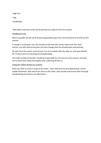-High Five

-Hug

-Handshake

New Meet and Greet cards will be printed out ready for the first session

#### Handling of Cash

Where possible we will ask that parents/guardians give the correct amount of money for the session.

If change is to be given out, this should not be from the money taken from the same session, and will need to be given out from change that has already been quarantined.

All cash from the session must be put in to an envelope with the date on, and quarantined for 72 hours prior to checking/counting/banking.

One staff member/volunteer should be responsible for the cash for each session, and they are to wash their hands thoroughly after collecting all fees in.

#### Using the Toilets during our sessions

Only one child at a time is to go to the toilet. Each child must be accompanied by a Team Leader/Volunteer, who will escort them to the toilet, wait outside and ensure that thorough handwashing procedures are adhered to.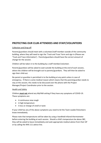## **PROTECTING OUR CLUB ATTENDEES AND STAFF/VOLUNTEERS**

#### Collection and Drop off

Parents/guardians should meet with a volunteer/staff member outside of the community building, where they will need to sign the 'Track and Trace' form and sign in (Please see 'Track and Trace information'). Parents/guardians should have the correct amount of change for the session.

Children will be taken in to the building by a staff member/volunteer.

Parents/guardians will be asked to wait outside the building at the end of each session, where the children will be brought out to parents/guardians. They will then be asked to sign their child out.

No parent or guardian is permitted in to the building at any point unless in case of emergency. If there is some medical reason which means that the parent/guardian needs to stay at the session, this needs to be discussed over the phone with the Project Manager/Project Coordinator prior to the session.

#### Health and Safety

Children **must not** attend any MyFAM setting if they have any symptoms of COVID-19. These symptoms are:

- A continuous new cough
- A high temperature
- A loss or change of smell or taste

If your child has any of the above symptoms you need to let the Team Leader/Volunteers know immediately.

Please note that temperatures will be taken by using a handheld Infared thermometer before entering the building at each session. Should a child's temperature be above 38C, they will be asked to leave immediately and seek appropriate medical advice from their GP or by calling the NHS 111 advice line.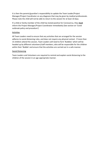It is then the parents/guardian's responsibility to update the Team Leader/Project Manager/Project Coordinator on any diagnosis that may be given by medical professionals. Please note the child will not be able to return to the session for at least 10 days.

If a child or family member of the child has tested positive for Coronavirus, they **must** inform the Project Manager/Project Coordinator immediately (See section on 'Covid outbreak policy and procedure')

#### **Activities**

All Team Leaders need to ensure that any activities that are arranged for the session adheres to social distancing rules, and does not require any physical contact. If more than 15 children attend the session, Team Leaders will need to form 'Bubbles' which will be headed up by different volunteers/staff members, who will be responsible for the children within their 'Bubble' and ensure that the activities are carried out in a safe manner.

#### Social Distancing

Team Leaders and Volunteers are required to remind and explain social distancing to the children of the session in an age appropriate manner.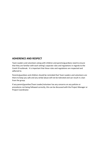### **ADHERENCE AND RESPECT**

Team Leaders and volunteers along with children and parents/guardians need to ensure that they are familiar with each setting's separate rules and regulations in regards to the Covid-19 outbreak. It is important that these rules and regulations are respected and adhered to.

Parents/guardians and children should be reminded that Team Leaders and volunteers are there to keep you safe and any verbal abuse will not be tolerated and can result in a ban from the group.

If any parent/guardian/Team Leader/volunteer has any concerns on any policies or procedures not being followed correctly, this can be discussed with the Project Manager or Project Coordinator.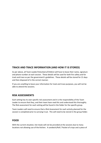### **TRACK AND TRACE INFORMATION (AND HOW IT IS STORED)**

As per above, all Team Leader/Volunteers/Children will have to leave their name, signature and phone number at each session. These details will be used for both fire safety and for track and trace as per the government's guidelines. These details will be stored for 21 days and then disposed of in the correct manner.

If you are unwilling to leave your information for track and trace purposes, you will not be able to attend the sessions.

### **RISK ASSESSMENTS**

Each setting has its own specific risk assessment and it is the responsibility of the Team Leader to ensure that they, and their team have read this and understood this thoroughly. The Risk assessment for each setting will be found in the folder for the specific group.

Team Leaders will need to ensure that a Risk Assessment for each activity planned for the session is completed prior to carrying it out. This will need to be stored in the group folder.

### **FOOD**

With the current situation, hot meals will not be provided at the sessions due to many locations not allowing use of the kitchen. A sandwich/Roll / Packet of crisps and a piece of